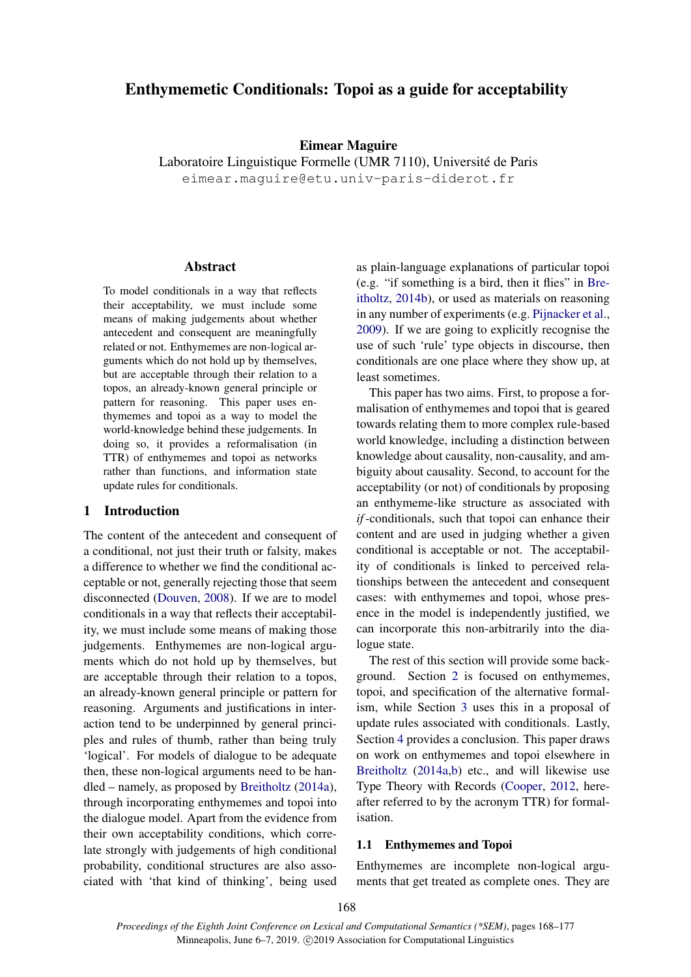## Enthymemetic Conditionals: Topoi as a guide for acceptability

#### Eimear Maguire

Laboratoire Linguistique Formelle (UMR 7110), Université de Paris eimear.maguire@etu.univ-paris-diderot.fr

#### Abstract

To model conditionals in a way that reflects their acceptability, we must include some means of making judgements about whether antecedent and consequent are meaningfully related or not. Enthymemes are non-logical arguments which do not hold up by themselves, but are acceptable through their relation to a topos, an already-known general principle or pattern for reasoning. This paper uses enthymemes and topoi as a way to model the world-knowledge behind these judgements. In doing so, it provides a reformalisation (in TTR) of enthymemes and topoi as networks rather than functions, and information state update rules for conditionals.

#### 1 Introduction

The content of the antecedent and consequent of a conditional, not just their truth or falsity, makes a difference to whether we find the conditional acceptable or not, generally rejecting those that seem disconnected [\(Douven,](#page-9-0) [2008\)](#page-9-0). If we are to model conditionals in a way that reflects their acceptability, we must include some means of making those judgements. Enthymemes are non-logical arguments which do not hold up by themselves, but are acceptable through their relation to a topos, an already-known general principle or pattern for reasoning. Arguments and justifications in interaction tend to be underpinned by general principles and rules of thumb, rather than being truly 'logical'. For models of dialogue to be adequate then, these non-logical arguments need to be handled – namely, as proposed by [Breitholtz](#page-9-1) [\(2014a\)](#page-9-1), through incorporating enthymemes and topoi into the dialogue model. Apart from the evidence from their own acceptability conditions, which correlate strongly with judgements of high conditional probability, conditional structures are also associated with 'that kind of thinking', being used

as plain-language explanations of particular topoi (e.g. "if something is a bird, then it flies" in [Bre](#page-9-2)[itholtz,](#page-9-2) [2014b\)](#page-9-2), or used as materials on reasoning in any number of experiments (e.g. [Pijnacker et al.,](#page-9-3) [2009\)](#page-9-3). If we are going to explicitly recognise the use of such 'rule' type objects in discourse, then conditionals are one place where they show up, at least sometimes.

This paper has two aims. First, to propose a formalisation of enthymemes and topoi that is geared towards relating them to more complex rule-based world knowledge, including a distinction between knowledge about causality, non-causality, and ambiguity about causality. Second, to account for the acceptability (or not) of conditionals by proposing an enthymeme-like structure as associated with *if*-conditionals, such that topoi can enhance their content and are used in judging whether a given conditional is acceptable or not. The acceptability of conditionals is linked to perceived relationships between the antecedent and consequent cases: with enthymemes and topoi, whose presence in the model is independently justified, we can incorporate this non-arbitrarily into the dialogue state.

The rest of this section will provide some background. Section [2](#page-2-0) is focused on enthymemes, topoi, and specification of the alternative formalism, while Section [3](#page-4-0) uses this in a proposal of update rules associated with conditionals. Lastly, Section [4](#page-8-0) provides a conclusion. This paper draws on work on enthymemes and topoi elsewhere in [Breitholtz](#page-9-1) [\(2014a](#page-9-1)[,b\)](#page-9-2) etc., and will likewise use Type Theory with Records [\(Cooper,](#page-9-4) [2012,](#page-9-4) hereafter referred to by the acronym TTR) for formalisation.

### 1.1 Enthymemes and Topoi

Enthymemes are incomplete non-logical arguments that get treated as complete ones. They are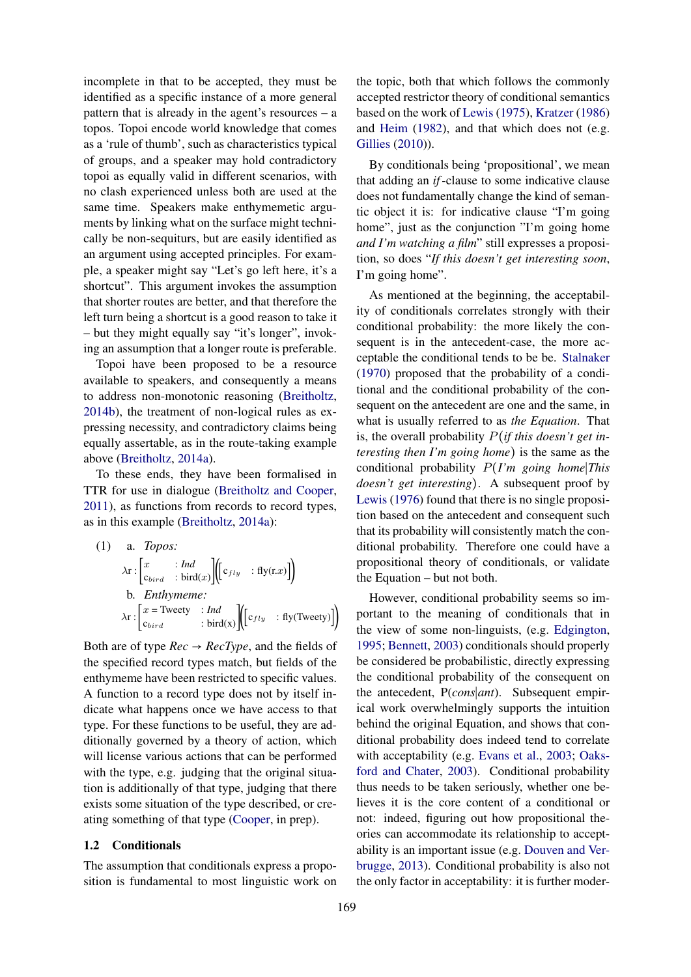incomplete in that to be accepted, they must be identified as a specific instance of a more general pattern that is already in the agent's resources – a topos. Topoi encode world knowledge that comes as a 'rule of thumb', such as characteristics typical of groups, and a speaker may hold contradictory topoi as equally valid in different scenarios, with no clash experienced unless both are used at the same time. Speakers make enthymemetic arguments by linking what on the surface might technically be non-sequiturs, but are easily identified as an argument using accepted principles. For example, a speaker might say "Let's go left here, it's a shortcut". This argument invokes the assumption that shorter routes are better, and that therefore the left turn being a shortcut is a good reason to take it – but they might equally say "it's longer", invoking an assumption that a longer route is preferable.

Topoi have been proposed to be a resource available to speakers, and consequently a means to address non-monotonic reasoning [\(Breitholtz,](#page-9-2) [2014b\)](#page-9-2), the treatment of non-logical rules as expressing necessity, and contradictory claims being equally assertable, as in the route-taking example above [\(Breitholtz,](#page-9-1) [2014a\)](#page-9-1).

To these ends, they have been formalised in TTR for use in dialogue [\(Breitholtz and Cooper,](#page-9-5) [2011\)](#page-9-5), as functions from records to record types, as in this example [\(Breitholtz,](#page-9-1) [2014a\)](#page-9-1):

(1) a. *Topos:*  
\n
$$
\lambda \mathbf{r} : \begin{bmatrix} x & \mathbf{:} \text{ } Ind \\ c_{\text{bird}} & \mathbf{:} \text{ bird}(x) \end{bmatrix} \begin{bmatrix} c_{fly} & \mathbf{:} \text{ fly}(\mathbf{r}.x) \end{bmatrix}
$$
\nb. *Enthymeme:*  
\n
$$
\lambda \mathbf{r} : \begin{bmatrix} x = \text{Tweety} & \mathbf{:} \text{ } Ind \\ c_{\text{bird}} & \mathbf{:} \text{ bird}(x) \end{bmatrix} \begin{bmatrix} c_{fly} & \mathbf{:} \text{ fly}(\text{Tweety}) \end{bmatrix}
$$

Both are of type  $Rec \rightarrow RecType$ , and the fields of the specified record types match, but fields of the enthymeme have been restricted to specific values. A function to a record type does not by itself indicate what happens once we have access to that type. For these functions to be useful, they are additionally governed by a theory of action, which will license various actions that can be performed with the type, e.g. judging that the original situation is additionally of that type, judging that there exists some situation of the type described, or creating something of that type [\(Cooper,](#page-9-6) in prep).

#### 1.2 Conditionals

The assumption that conditionals express a proposition is fundamental to most linguistic work on the topic, both that which follows the commonly accepted restrictor theory of conditional semantics based on the work of [Lewis](#page-9-7) [\(1975\)](#page-9-7), [Kratzer](#page-9-8) [\(1986\)](#page-9-8) and [Heim](#page-9-9) [\(1982\)](#page-9-9), and that which does not (e.g. [Gillies](#page-9-10) [\(2010\)](#page-9-10)).

By conditionals being 'propositional', we mean that adding an *if*-clause to some indicative clause does not fundamentally change the kind of semantic object it is: for indicative clause "I'm going home", just as the conjunction "I'm going home *and I'm watching a film*" still expresses a proposition, so does "*If this doesn't get interesting soon*, I'm going home".

As mentioned at the beginning, the acceptability of conditionals correlates strongly with their conditional probability: the more likely the consequent is in the antecedent-case, the more acceptable the conditional tends to be be. [Stalnaker](#page-9-11) [\(1970\)](#page-9-11) proposed that the probability of a conditional and the conditional probability of the consequent on the antecedent are one and the same, in what is usually referred to as *the Equation*. That is, the overall probability P(*if this doesn't get interesting then I'm going home*) is the same as the conditional probability P(*I'm going home*∣*This doesn't get interesting*). A subsequent proof by [Lewis](#page-9-12) [\(1976\)](#page-9-12) found that there is no single proposition based on the antecedent and consequent such that its probability will consistently match the conditional probability. Therefore one could have a propositional theory of conditionals, or validate the Equation – but not both.

However, conditional probability seems so important to the meaning of conditionals that in the view of some non-linguists, (e.g. [Edgington,](#page-9-13) [1995;](#page-9-13) [Bennett,](#page-9-14) [2003\)](#page-9-14) conditionals should properly be considered be probabilistic, directly expressing the conditional probability of the consequent on the antecedent, P(*cons*∣*ant*). Subsequent empirical work overwhelmingly supports the intuition behind the original Equation, and shows that conditional probability does indeed tend to correlate with acceptability (e.g. [Evans et al.,](#page-9-15) [2003;](#page-9-15) [Oaks](#page-9-16)[ford and Chater,](#page-9-16) [2003\)](#page-9-16). Conditional probability thus needs to be taken seriously, whether one believes it is the core content of a conditional or not: indeed, figuring out how propositional theories can accommodate its relationship to acceptability is an important issue (e.g. [Douven and Ver](#page-9-17)[brugge,](#page-9-17) [2013\)](#page-9-17). Conditional probability is also not the only factor in acceptability: it is further moder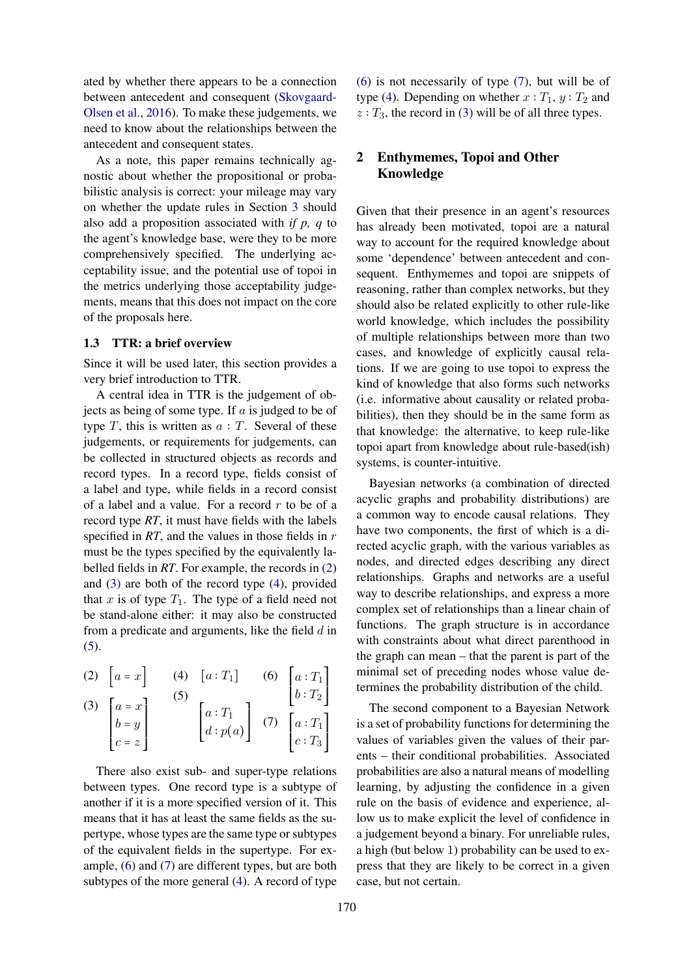ated by whether there appears to be a connection between antecedent and consequent [\(Skovgaard-](#page-9-18)[Olsen et al.,](#page-9-18) [2016\)](#page-9-18). To make these judgements, we need to know about the relationships between the antecedent and consequent states.

As a note, this paper remains technically agnostic about whether the propositional or probabilistic analysis is correct: your mileage may vary on whether the update rules in Section [3](#page-4-0) should also add a proposition associated with *if p, q* to the agent's knowledge base, were they to be more comprehensively specified. The underlying acceptability issue, and the potential use of topoi in the metrics underlying those acceptability judgements, means that this does not impact on the core of the proposals here.

#### 1.3 TTR: a brief overview

Since it will be used later, this section provides a very brief introduction to TTR.

A central idea in TTR is the judgement of objects as being of some type. If  $a$  is judged to be of type  $T$ , this is written as  $a : T$ . Several of these judgements, or requirements for judgements, can be collected in structured objects as records and record types. In a record type, fields consist of a label and type, while fields in a record consist of a label and a value. For a record  $r$  to be of a record type *RT*, it must have fields with the labels specified in *RT*, and the values in those fields in r must be the types specified by the equivalently labelled fields in *RT*. For example, the records in [\(2\)](#page-2-1) and [\(3\)](#page-2-2) are both of the record type [\(4\)](#page-2-3), provided that  $x$  is of type  $T_1$ . The type of a field need not be stand-alone either: it may also be constructed from a predicate and arguments, like the field  $d$  in [\(5\)](#page-2-4).

<span id="page-2-4"></span><span id="page-2-3"></span><span id="page-2-2"></span><span id="page-2-1"></span>(2) 
$$
\begin{bmatrix} a = x \end{bmatrix}
$$
 (4)  $\begin{bmatrix} a: T_1 \end{bmatrix}$  (6)  $\begin{bmatrix} a: T_1 \ b: T_2 \end{bmatrix}$   
\n(3)  $\begin{bmatrix} a = x \ b = y \ c = z \end{bmatrix}$  (5)  $\begin{bmatrix} a: T_1 \ d: p(a) \end{bmatrix}$  (7)  $\begin{bmatrix} a: T_1 \ c: T_3 \end{bmatrix}$ 

<span id="page-2-5"></span>There also exist sub- and super-type relations between types. One record type is a subtype of another if it is a more specified version of it. This means that it has at least the same fields as the supertype, whose types are the same type or subtypes of the equivalent fields in the supertype. For example, [\(6\)](#page-2-5) and [\(7\)](#page-2-6) are different types, but are both subtypes of the more general [\(4\)](#page-2-3). A record of type

[\(6\)](#page-2-5) is not necessarily of type [\(7\)](#page-2-6), but will be of type [\(4\)](#page-2-3). Depending on whether  $x : T_1, y : T_2$  and  $z: T_3$ , the record in [\(3\)](#page-2-2) will be of all three types.

## <span id="page-2-0"></span>2 Enthymemes, Topoi and Other Knowledge

Given that their presence in an agent's resources has already been motivated, topoi are a natural way to account for the required knowledge about some 'dependence' between antecedent and consequent. Enthymemes and topoi are snippets of reasoning, rather than complex networks, but they should also be related explicitly to other rule-like world knowledge, which includes the possibility of multiple relationships between more than two cases, and knowledge of explicitly causal relations. If we are going to use topoi to express the kind of knowledge that also forms such networks (i.e. informative about causality or related probabilities), then they should be in the same form as that knowledge: the alternative, to keep rule-like topoi apart from knowledge about rule-based(ish) systems, is counter-intuitive.

Bayesian networks (a combination of directed acyclic graphs and probability distributions) are a common way to encode causal relations. They have two components, the first of which is a directed acyclic graph, with the various variables as nodes, and directed edges describing any direct relationships. Graphs and networks are a useful way to describe relationships, and express a more complex set of relationships than a linear chain of functions. The graph structure is in accordance with constraints about what direct parenthood in the graph can mean – that the parent is part of the minimal set of preceding nodes whose value determines the probability distribution of the child.

<span id="page-2-6"></span>The second component to a Bayesian Network is a set of probability functions for determining the values of variables given the values of their parents – their conditional probabilities. Associated probabilities are also a natural means of modelling learning, by adjusting the confidence in a given rule on the basis of evidence and experience, allow us to make explicit the level of confidence in a judgement beyond a binary. For unreliable rules, a high (but below 1) probability can be used to express that they are likely to be correct in a given case, but not certain.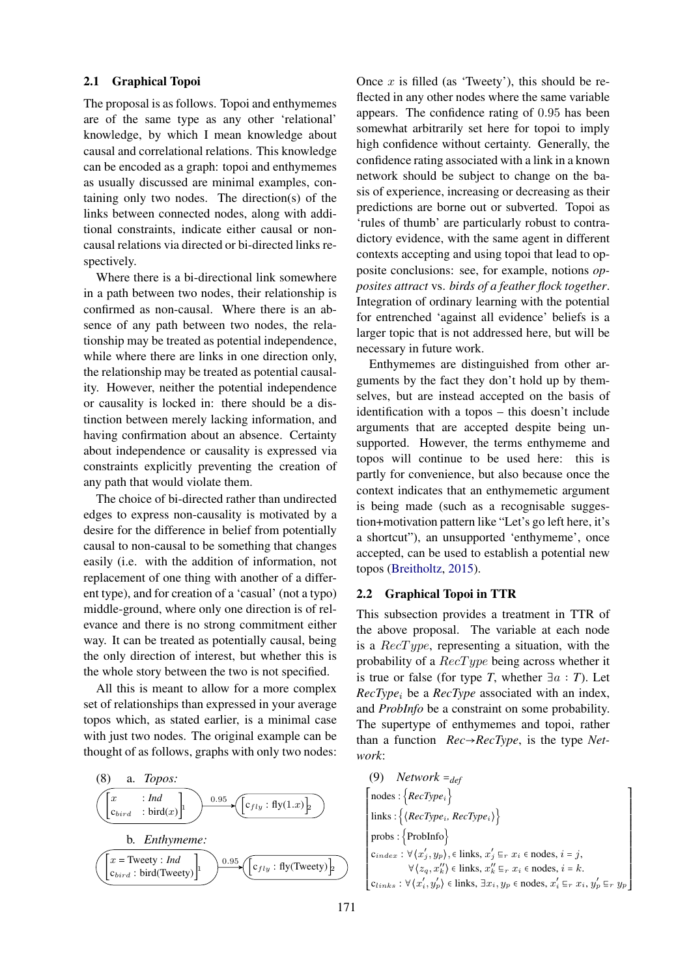#### <span id="page-3-0"></span>2.1 Graphical Topoi

The proposal is as follows. Topoi and enthymemes are of the same type as any other 'relational' knowledge, by which I mean knowledge about causal and correlational relations. This knowledge can be encoded as a graph: topoi and enthymemes as usually discussed are minimal examples, containing only two nodes. The direction(s) of the links between connected nodes, along with additional constraints, indicate either causal or noncausal relations via directed or bi-directed links respectively.

Where there is a bi-directional link somewhere in a path between two nodes, their relationship is confirmed as non-causal. Where there is an absence of any path between two nodes, the relationship may be treated as potential independence, while where there are links in one direction only, the relationship may be treated as potential causality. However, neither the potential independence or causality is locked in: there should be a distinction between merely lacking information, and having confirmation about an absence. Certainty about independence or causality is expressed via constraints explicitly preventing the creation of any path that would violate them.

The choice of bi-directed rather than undirected edges to express non-causality is motivated by a desire for the difference in belief from potentially causal to non-causal to be something that changes easily (i.e. with the addition of information, not replacement of one thing with another of a different type), and for creation of a 'casual' (not a typo) middle-ground, where only one direction is of relevance and there is no strong commitment either way. It can be treated as potentially causal, being the only direction of interest, but whether this is the whole story between the two is not specified.

All this is meant to allow for a more complex set of relationships than expressed in your average topos which, as stated earlier, is a minimal case with just two nodes. The original example can be thought of as follows, graphs with only two nodes:



Once  $x$  is filled (as 'Tweety'), this should be reflected in any other nodes where the same variable appears. The confidence rating of 0.95 has been somewhat arbitrarily set here for topoi to imply high confidence without certainty. Generally, the confidence rating associated with a link in a known network should be subject to change on the basis of experience, increasing or decreasing as their predictions are borne out or subverted. Topoi as 'rules of thumb' are particularly robust to contradictory evidence, with the same agent in different contexts accepting and using topoi that lead to opposite conclusions: see, for example, notions *opposites attract* vs. *birds of a feather flock together*. Integration of ordinary learning with the potential for entrenched 'against all evidence' beliefs is a larger topic that is not addressed here, but will be necessary in future work.

Enthymemes are distinguished from other arguments by the fact they don't hold up by themselves, but are instead accepted on the basis of identification with a topos – this doesn't include arguments that are accepted despite being unsupported. However, the terms enthymeme and topos will continue to be used here: this is partly for convenience, but also because once the context indicates that an enthymemetic argument is being made (such as a recognisable suggestion+motivation pattern like "Let's go left here, it's a shortcut"), an unsupported 'enthymeme', once accepted, can be used to establish a potential new topos [\(Breitholtz,](#page-9-19) [2015\)](#page-9-19).

## 2.2 Graphical Topoi in TTR

This subsection provides a treatment in TTR of the above proposal. The variable at each node is a  $RecType$ , representing a situation, with the probability of a  $RecType$  being across whether it is true or false (for type *T*, whether  $\exists a : T$ ). Let *RecType<sub>i</sub>* be a *RecType* associated with an index, and *ProbInfo* be a constraint on some probability. The supertype of enthymemes and topoi, rather than a function *Rec*→*RecType*, is the type *Network*:

(9) 
$$
Network =_{def}
$$
\n
$$
\left\{\begin{array}{l}\text{nodes}: \{RecType_i\} \\\\ \text{links}: \left\{ \langle RecType_i, RecType_i \} \right\} \\\\ \text{probs}: \left\{ \text{Probability} \right\} \\\\ \text{probs}: \left\{ \text{Probability} \right\} \\\\ c_{index}: \forall \langle x'_j, y_p \rangle, \in \text{links}, x'_j \subseteq_r x_i \in \text{nodes}, i = j, \\\forall \langle z_q, x''_k \rangle \in \text{links}, x''_k \subseteq_r x_i \in \text{nodes}, i = k. \\\ c_{links}: \forall \langle x'_i, y'_p \rangle \in \text{links}, \exists x_i, y_p \in \text{nodes}, x'_i \subseteq_r x_i, y'_p \subseteq_r y_p \end{array} \right\}
$$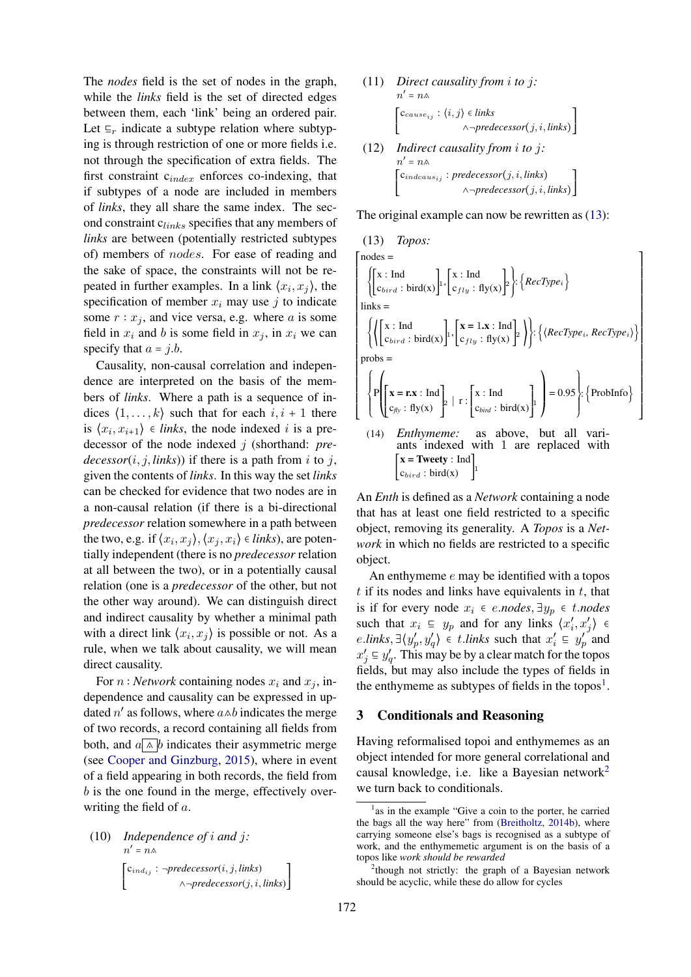The *nodes* field is the set of nodes in the graph, while the *links* field is the set of directed edges between them, each 'link' being an ordered pair. Let  $\mathsf{E}_r$  indicate a subtype relation where subtyping is through restriction of one or more fields i.e. not through the specification of extra fields. The first constraint cindex enforces co-indexing, that if subtypes of a node are included in members of *links*, they all share the same index. The second constraint  $c_{links}$  specifies that any members of *links* are between (potentially restricted subtypes of) members of nodes. For ease of reading and the sake of space, the constraints will not be repeated in further examples. In a link  $\langle x_i, x_j \rangle$ , the specification of member  $x_i$  may use j to indicate some  $r : x_i$ , and vice versa, e.g. where a is some field in  $x_i$  and b is some field in  $x_j$ , in  $x_i$  we can specify that  $a = j.b$ .

Causality, non-causal correlation and independence are interpreted on the basis of the members of *links*. Where a path is a sequence of indices  $\langle 1, \ldots, k \rangle$  such that for each  $i, i + 1$  there is  $\langle x_i, x_{i+1} \rangle \in$  *links*, the node indexed *i* is a predecessor of the node indexed j (shorthand: *pre* $decessor(i, j, links)$  if there is a path from i to j, given the contents of *links*. In this way the set *links* can be checked for evidence that two nodes are in a non-causal relation (if there is a bi-directional *predecessor* relation somewhere in a path between the two, e.g. if  $\langle x_i, x_j \rangle, \langle x_j, x_i \rangle \in *links*$ , are potentially independent (there is no *predecessor* relation at all between the two), or in a potentially causal relation (one is a *predecessor* of the other, but not the other way around). We can distinguish direct and indirect causality by whether a minimal path with a direct link  $\langle x_i, x_j \rangle$  is possible or not. As a rule, when we talk about causality, we will mean direct causality.

For  $n : Network$  containing nodes  $x_i$  and  $x_j$ , independence and causality can be expressed in updated  $n'$  as follows, where  $a \wedge b$  indicates the merge of two records, a record containing all fields from both, and  $a \wedge b$  indicates their asymmetric merge (see [Cooper and Ginzburg,](#page-9-20) [2015\)](#page-9-20), where in event of a field appearing in both records, the field from b is the one found in the merge, effectively overwriting the field of a.

(10) *Independence of i and j:*  
\n
$$
n' = n \land
$$
\n
$$
\begin{bmatrix} c_{ind_{ij}} : \neg predecessor(i, j, links) \\ \land \neg predecessor(j, i, links) \end{bmatrix}
$$

(11) *Direct causality from* i *to* j*:*  $n' = n \wedge$  $\begin{bmatrix} \frac{1}{2} & \frac{1}{2} & \frac{1}{2} \\ \frac{1}{2} & \frac{1}{2} & \frac{1}{2} \\ \frac{1}{2} & \frac{1}{2} & \frac{1}{2} \end{bmatrix}$  $c_{cause_{ij}}$ :  $\langle i, j \rangle \in links$ ∧¬*predecessor*(j, i, *links*) ⎤ ⎥ ⎥ ⎥ ⎦ (12) *Indirect causality from* i *to* j*:*  $n' = n \wedge$  $\left[$ C<sub>indcaus<sub>ij</sub>: *predecessor*(*j*, *i*, *links*)</sub>  $\mathsf I$ ⎣ ∧¬*predecessor*(j, i, *links*) ⎥ ⎥ ⎦ ⎤ ⎥

The original example can now be rewritten as  $(13)$ :

<span id="page-4-1"></span>(13) *Topos:*  
\n
$$
\begin{bmatrix}\n\text{nodes} = \\
\begin{bmatrix}\n\begin{bmatrix}\nx : \text{Ind} \\
C_{bird} : \text{bird}(x)\n\end{bmatrix}, \begin{bmatrix}\nx : \text{Ind} \\
C_{fly} : \text{fly}(x)\n\end{bmatrix}\n\end{bmatrix}, \begin{bmatrix}\n\begin{bmatrix}\nRecType_i\n\end{bmatrix}\n\end{bmatrix}
$$
\nlinks =  
\n
$$
\begin{Bmatrix}\n\begin{bmatrix}\n\begin{bmatrix}\nx : \text{Ind} \\
C_{bird} : \text{bird}(x)\n\end{bmatrix}, \begin{bmatrix}\nx = 1.x : \text{Ind} \\
C_{fly} : \text{fly}(x)\n\end{bmatrix}\n\end{Bmatrix}\n\end{Bmatrix}, \begin{Bmatrix}\n\begin{bmatrix}\n\begin{bmatrix}\nRecType_i, RecType_i\n\end{bmatrix}\n\end{Bmatrix}\n\end{Bmatrix}
$$
\nprob =  
\n
$$
\begin{Bmatrix}\nP\begin{bmatrix}\nx = rx : \text{Ind} \\
C_{fly} : \text{fly}(x)\n\end{bmatrix} \cdot \begin{bmatrix}\nx : \text{Ind} \\
C_{bird} : \text{bird}(x)\n\end{bmatrix}\n\end{Bmatrix} = 0.95
$$
\n
$$
\begin{Bmatrix}\n\begin{bmatrix}\n\text{Problemfo} \\
\text{Problemfo}\n\end{bmatrix}\n\end{Bmatrix}
$$
\n(14) *Enthymeme:* as above, but all variants indexed with 1 are replaced with  
\n
$$
\begin{bmatrix}\nx = \text{Twety} : \text{Ind} \\
C_{bird} : \text{bird}(x)\n\end{bmatrix}^{\perp}
$$

An *Enth* is defined as a *Network* containing a node that has at least one field restricted to a specific object, removing its generality. A *Topos* is a *Network* in which no fields are restricted to a specific object.

An enthymeme e may be identified with a topos  $t$  if its nodes and links have equivalents in  $t$ , that is if for every node  $x_i$  ∈ *e.nodes*,  $\exists y_p$  ∈ *t.nodes* such that  $x_i \subseteq y_p$  and for any links  $\langle x'_i, x'_j \rangle \in$ *e.links*,  $\exists \langle y'_p, y'_q \rangle \in t$ *.links* such that  $x'_i \equiv y'_p$  and  $x'_j \n\t\subseteq y'_q$ . This may be by a clear match for the topos fields, but may also include the types of fields in the enthymeme as subtypes of fields in the topos<sup>[1](#page-4-2)</sup>.

#### <span id="page-4-0"></span>3 Conditionals and Reasoning

Having reformalised topoi and enthymemes as an object intended for more general correlational and causal knowledge, i.e. like a Bayesian network[2](#page-4-3) we turn back to conditionals.

<span id="page-4-2"></span><sup>&</sup>lt;sup>1</sup> as in the example "Give a coin to the porter, he carried the bags all the way here" from [\(Breitholtz,](#page-9-2) [2014b\)](#page-9-2), where carrying someone else's bags is recognised as a subtype of work, and the enthymemetic argument is on the basis of a topos like *work should be rewarded*

<span id="page-4-3"></span><sup>&</sup>lt;sup>2</sup>though not strictly: the graph of a Bayesian network should be acyclic, while these do allow for cycles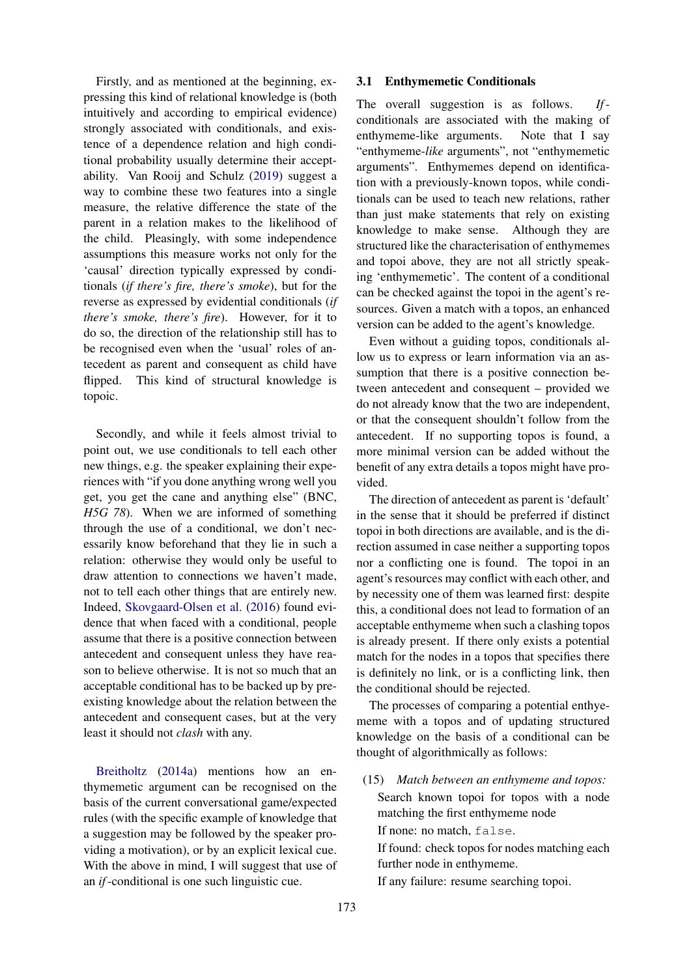Firstly, and as mentioned at the beginning, expressing this kind of relational knowledge is (both intuitively and according to empirical evidence) strongly associated with conditionals, and existence of a dependence relation and high conditional probability usually determine their acceptability. Van Rooij and Schulz [\(2019\)](#page-9-21) suggest a way to combine these two features into a single measure, the relative difference the state of the parent in a relation makes to the likelihood of the child. Pleasingly, with some independence assumptions this measure works not only for the 'causal' direction typically expressed by conditionals (*if there's fire, there's smoke*), but for the reverse as expressed by evidential conditionals (*if there's smoke, there's fire*). However, for it to do so, the direction of the relationship still has to be recognised even when the 'usual' roles of antecedent as parent and consequent as child have flipped. This kind of structural knowledge is topoic.

Secondly, and while it feels almost trivial to point out, we use conditionals to tell each other new things, e.g. the speaker explaining their experiences with "if you done anything wrong well you get, you get the cane and anything else" (BNC, *H5G 78*). When we are informed of something through the use of a conditional, we don't necessarily know beforehand that they lie in such a relation: otherwise they would only be useful to draw attention to connections we haven't made, not to tell each other things that are entirely new. Indeed, [Skovgaard-Olsen et al.](#page-9-18) [\(2016\)](#page-9-18) found evidence that when faced with a conditional, people assume that there is a positive connection between antecedent and consequent unless they have reason to believe otherwise. It is not so much that an acceptable conditional has to be backed up by preexisting knowledge about the relation between the antecedent and consequent cases, but at the very least it should not *clash* with any.

[Breitholtz](#page-9-1) [\(2014a\)](#page-9-1) mentions how an enthymemetic argument can be recognised on the basis of the current conversational game/expected rules (with the specific example of knowledge that a suggestion may be followed by the speaker providing a motivation), or by an explicit lexical cue. With the above in mind, I will suggest that use of an *if*-conditional is one such linguistic cue.

#### 3.1 Enthymemetic Conditionals

The overall suggestion is as follows. *If*conditionals are associated with the making of enthymeme-like arguments. Note that I say "enthymeme-*like* arguments", not "enthymemetic arguments". Enthymemes depend on identification with a previously-known topos, while conditionals can be used to teach new relations, rather than just make statements that rely on existing knowledge to make sense. Although they are structured like the characterisation of enthymemes and topoi above, they are not all strictly speaking 'enthymemetic'. The content of a conditional can be checked against the topoi in the agent's resources. Given a match with a topos, an enhanced version can be added to the agent's knowledge.

Even without a guiding topos, conditionals allow us to express or learn information via an assumption that there is a positive connection between antecedent and consequent – provided we do not already know that the two are independent, or that the consequent shouldn't follow from the antecedent. If no supporting topos is found, a more minimal version can be added without the benefit of any extra details a topos might have provided.

The direction of antecedent as parent is 'default' in the sense that it should be preferred if distinct topoi in both directions are available, and is the direction assumed in case neither a supporting topos nor a conflicting one is found. The topoi in an agent's resources may conflict with each other, and by necessity one of them was learned first: despite this, a conditional does not lead to formation of an acceptable enthymeme when such a clashing topos is already present. If there only exists a potential match for the nodes in a topos that specifies there is definitely no link, or is a conflicting link, then the conditional should be rejected.

The processes of comparing a potential enthyememe with a topos and of updating structured knowledge on the basis of a conditional can be thought of algorithmically as follows:

(15) *Match between an enthymeme and topos:* Search known topoi for topos with a node matching the first enthymeme node If none: no match, false.

If found: check topos for nodes matching each further node in enthymeme.

If any failure: resume searching topoi.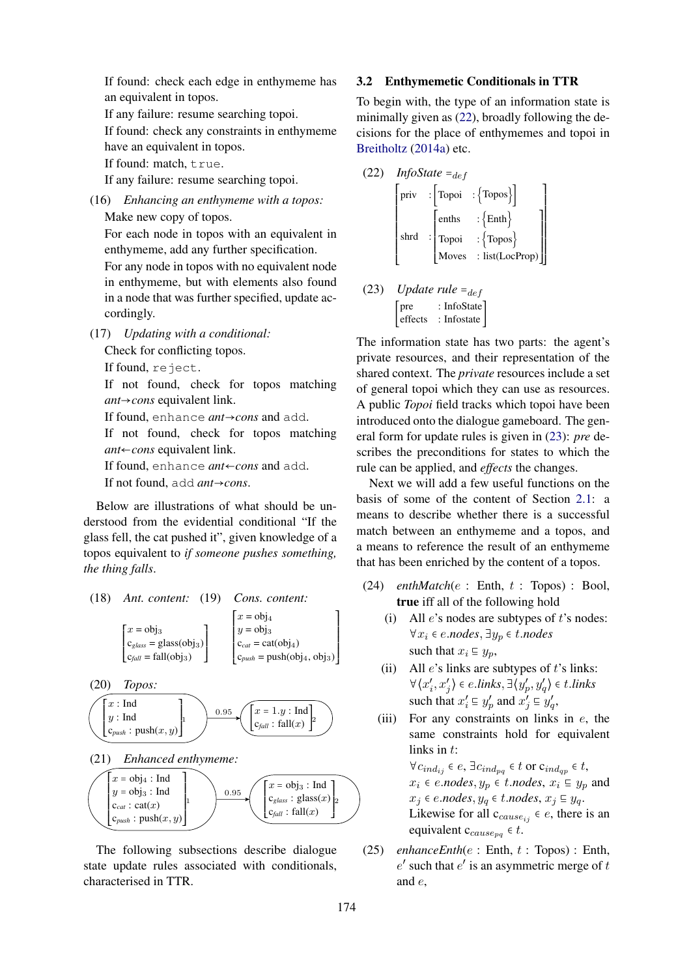If found: check each edge in enthymeme has an equivalent in topos.

If any failure: resume searching topoi.

If found: check any constraints in enthymeme have an equivalent in topos.

If found: match, true.

If any failure: resume searching topoi.

(16) *Enhancing an enthymeme with a topos:* Make new copy of topos.

For each node in topos with an equivalent in enthymeme, add any further specification. For any node in topos with no equivalent node in enthymeme, but with elements also found in a node that was further specified, update accordingly.

(17) *Updating with a conditional:*

Check for conflicting topos.

If found, reject.

If not found, check for topos matching *ant*→*cons* equivalent link.

If found, enhance *ant*→*cons* and add.

If not found, check for topos matching *ant*←*cons* equivalent link.

If found, enhance *ant*←*cons* and add.

If not found, add *ant*→*cons*.

Below are illustrations of what should be understood from the evidential conditional "If the glass fell, the cat pushed it", given knowledge of a topos equivalent to *if someone pushes something, the thing falls*.







The following subsections describe dialogue state update rules associated with conditionals, characterised in TTR.

#### 3.2 Enthymemetic Conditionals in TTR

To begin with, the type of an information state is minimally given as [\(22\)](#page-6-0), broadly following the decisions for the place of enthymemes and topoi in [Breitholtz](#page-9-1) [\(2014a\)](#page-9-1) etc.

<span id="page-6-0"></span>(22) *InfoState =  
def*  
\n
$$
\begin{bmatrix}\n\text{priv} : \begin{bmatrix}\n\text{Topoi} : \{\text{Topos}\} \\
\text{enths} : \begin{bmatrix}\n\text{enths} \\
\text{Topoi} : \{\text{Topos}\} \\
\text{Moves} : \text{list}(\text{LocProp})\n\end{bmatrix}\n\end{bmatrix}
$$

<span id="page-6-1"></span>(23) *Update rule* = 
$$
def
$$
  
\n
$$
\begin{bmatrix}\n \text{pre} & \text{: InfoState} \\
 \text{effects} & \text{: Infostate}\n \end{bmatrix}
$$

The information state has two parts: the agent's private resources, and their representation of the shared context. The *private* resources include a set of general topoi which they can use as resources. A public *Topoi* field tracks which topoi have been introduced onto the dialogue gameboard. The general form for update rules is given in [\(23\)](#page-6-1): *pre* describes the preconditions for states to which the rule can be applied, and *effects* the changes.

Next we will add a few useful functions on the basis of some of the content of Section [2.1:](#page-3-0) a means to describe whether there is a successful match between an enthymeme and a topos, and a means to reference the result of an enthymeme that has been enriched by the content of a topos.

- (24) *enthMatch*(e : Enth, t : Topos) : Bool, true iff all of the following hold
	- (i) All  $e$ 's nodes are subtypes of  $t$ 's nodes: ∀x<sup>i</sup> ∈ e.*nodes*, ∃y<sup>p</sup> ∈ t.*nodes* such that  $x_i \nightharpoondown y_p$ ,
	- (ii) All  $e$ 's links are subtypes of  $t$ 's links:  $\forall \langle x'_i, x'_j \rangle \in e$ *.links*,  $\exists \langle y'_p, y'_q \rangle \in t$ *.links* such that  $x'_i \equiv y'_p$  and  $x'_j \equiv y'_q$ ,
	- (iii) For any constraints on links in  $e$ , the same constraints hold for equivalent links in t:

 $\forall c_{ind_{ij}} \in e$ ,  $\exists c_{ind_{pq}} \in t$  or  $c_{ind_{qp}} \in t$ ,  $x_i$  ∈ *e.nodes*,  $y_p$  ∈ *t.nodes*,  $x_i$  ⊑  $y_p$  and  $x_j$  ∈ *e.nodes*,  $y_q$  ∈ *t.nodes*,  $x_j \nsubseteq y_q$ . Likewise for all  $c_{cause_{ij}} \in e$ , there is an equivalent  $c_{cause_{na}} \in t$ .

(25)  $enhanceEnth(e : Enth, t : Topos) : Enth,$  $e'$  such that  $e'$  is an asymmetric merge of  $t$ and e,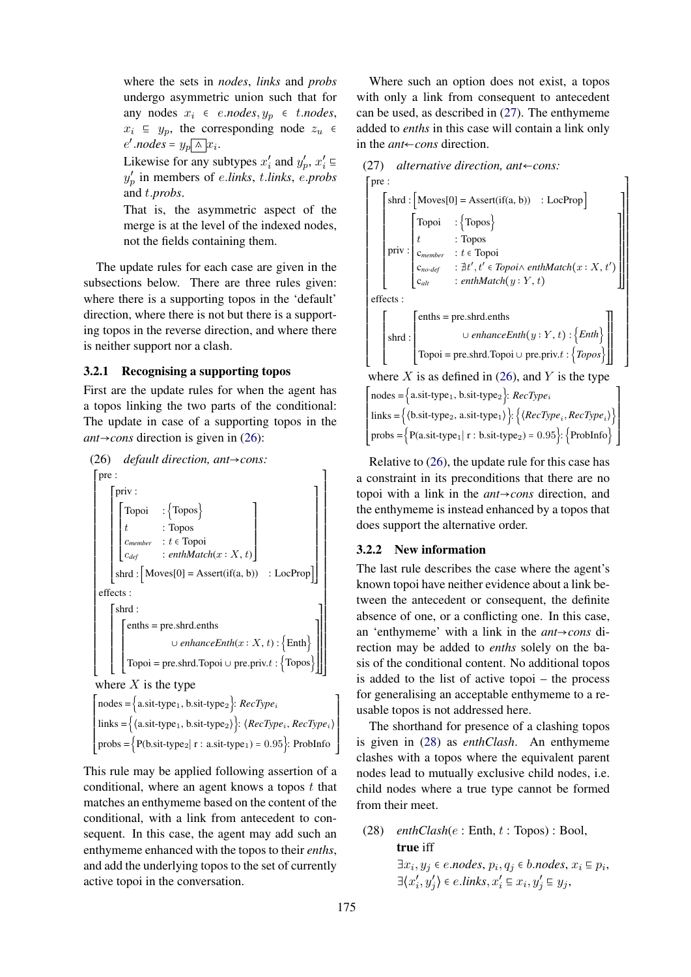where the sets in *nodes*, *links* and *probs* undergo asymmetric union such that for any nodes  $x_i$  ∈ *e.nodes*,  $y_p$  ∈ *t.nodes*,  $x_i \in y_p$ , the corresponding node  $z_u \in$  $e'.nodes = y_p \sqrt{\wedge} x_i.$ 

Likewise for any subtypes  $x'_i$  and  $y'_p$ ,  $x'_i \n\in$ y ′ p in members of e.*links*, t.*links*, e.*probs* and t.*probs*.

That is, the asymmetric aspect of the merge is at the level of the indexed nodes, not the fields containing them.

The update rules for each case are given in the subsections below. There are three rules given: where there is a supporting topos in the 'default' direction, where there is not but there is a supporting topos in the reverse direction, and where there is neither support nor a clash.

#### 3.2.1 Recognising a supporting topos

First are the update rules for when the agent has a topos linking the two parts of the conditional: The update in case of a supporting topos in the *ant*→*cons* direction is given in [\(26\)](#page-7-0):

<span id="page-7-0"></span>

 $\left[$ nodes = {a.sit-type<sub>1</sub>, b.sit-type<sub>2</sub>}: *RecType<sub>i</sub>*  $\left\{\text{links} = \left\{\text{a.sit-type}_1, \text{b.sit-type}_2\right\} : \text{~\text{RecType}_i, \text{RecType}_i\right\}$  $\left\{ \text{probs} = \left\{ P(\text{b}.sit-type}_2 \middle| \text{r} : \text{a}.sit-type}_1 \right) = 0.95 \right\}$ : ProbInfo

This rule may be applied following assertion of a conditional, where an agent knows a topos  $t$  that matches an enthymeme based on the content of the conditional, with a link from antecedent to consequent. In this case, the agent may add such an enthymeme enhanced with the topos to their *enths*, and add the underlying topos to the set of currently active topoi in the conversation.

Where such an option does not exist, a topos with only a link from consequent to antecedent can be used, as described in [\(27\)](#page-7-1). The enthymeme added to *enths* in this case will contain a link only in the *ant*←*cons* direction.

<span id="page-7-1"></span>



 $\mathbf{I}$ ⎥

⎥ ⎥ ⎦



where X is as defined in  $(26)$ , and Y is the type

| $\big[$ nodes = {a.sit-type <sub>1</sub> , b.sit-type <sub>2</sub> }: <i>RecType<sub>i</sub></i>                                                                                                                      |
|-----------------------------------------------------------------------------------------------------------------------------------------------------------------------------------------------------------------------|
| $\left\{ \text{links} = \left\{ \left\langle \text{b}.\text{sit-type}_2, \text{a}.\text{sit-type}_1 \right\rangle \right\} : \left\{ \left\langle \text{RecType}_i, \text{RecType}_i \right\rangle \right\} \right\}$ |
| $\text{probs} = \left\{ P(a\text{.sit-type}_1   r : b\text{.sit-type}_2) = 0.95 \right\}$ : $\left\{ \text{ProbInfo} \right\}$                                                                                        |

Relative to [\(26\)](#page-7-0), the update rule for this case has a constraint in its preconditions that there are no topoi with a link in the *ant*→*cons* direction, and the enthymeme is instead enhanced by a topos that does support the alternative order.

#### 3.2.2 New information

 $\mathsf{l}$ ⎢ ⎣

The last rule describes the case where the agent's known topoi have neither evidence about a link between the antecedent or consequent, the definite absence of one, or a conflicting one. In this case, an 'enthymeme' with a link in the *ant*→*cons* direction may be added to *enths* solely on the basis of the conditional content. No additional topos is added to the list of active topoi – the process for generalising an acceptable enthymeme to a reusable topos is not addressed here.

The shorthand for presence of a clashing topos is given in [\(28\)](#page-7-2) as *enthClash*. An enthymeme clashes with a topos where the equivalent parent nodes lead to mutually exclusive child nodes, i.e. child nodes where a true type cannot be formed from their meet.

# <span id="page-7-2"></span>(28) *enthClash*(e : Enth, t : Topos) : Bool, true iff

 $\exists x_i, y_j \in e \textit{.nodes}, p_i, q_j \in b \textit{.nodes}, x_i \in p_i,$  $\exists \langle x'_i, y'_j \rangle \in e$ *.links*,  $x'_i \subseteq x_i, y'_j \subseteq y_j$ ,

 $\mathbf{I}$ ⎥  $\begin{array}{c} \begin{array}{c} \begin{array}{c} \begin{array}{c} \end{array} \\ \begin{array}{c} \end{array} \end{array} \end{array} \end{array}$ 

⎦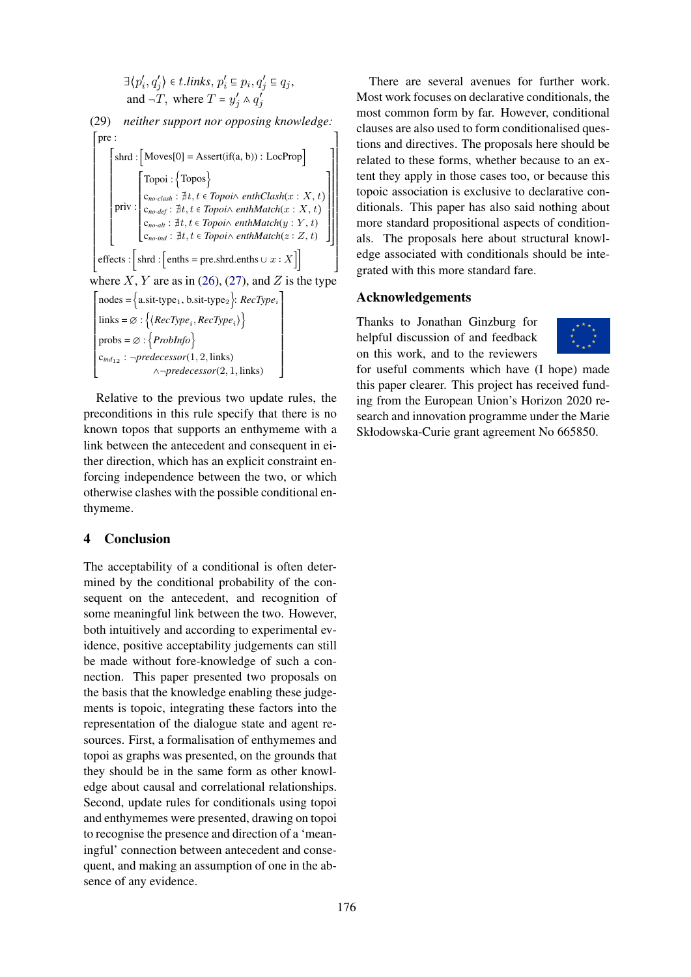$$
\exists \langle p'_i, q'_j \rangle \in t. links, p'_i \subseteq p_i, q'_j \subseteq q_j,
$$
  
and  $\neg T$ , where  $T = y'_j \land q'_j$ 

(29) *neither support nor opposing knowledge:*  $\int \text{pre}$ :

⎢ ⎢ ⎢ ⎢ ⎢ ⎢ ⎢ ⎢ ⎢ ⎢ ⎢ ⎢ ⎢ ⎢ ⎢ ⎢ ⎢ ⎢ ⎢  $\left[ \text{effects}: \left[ \text{shrd}: \left[ \text{enths} = \text{pre.shrd} \text{.enths} \cup x : X \right] \right] \right]$ ⎣  $\left[ \text{shrd} : \left[ \text{Moves}[0] = \text{assert}(if(a, b)) : \text{LocProp} \right] \right]$ ⎢ ⎢ ⎢ ⎢ ⎢ ⎢ ⎢ priv : ⎢ ⎢ ⎢ ⎢ ⎢ ⎣ ⎡ ⎢ Topoi : {Topos} ⎢  $\vert$  **c**<sub>no-clash</sub> : ∄t, t ∈ *Topoi*∧ *enthClash*(x : X, t)  $\begin{cases} \mathbf{c}_{no\text{-}clash} \cdot \mu, t \in \text{Top} \text{ in } \mathbb{C} \text{ is a function of } \mathbb{C} \\ \mathbf{c}_{no\text{-}def} \colon \nexists t, t \in \text{Top} \text{ on } \mathbb{C} \text{ in } \mathbb{C} \text{ and } \mathbb{C} \text{ in } \mathbb{C} \end{cases}$  $\begin{pmatrix} c_{no-alt} : \nexists t, t \in Topoi \wedge \mathit{enthMatch}(y : Y, t) \end{pmatrix}$  $\begin{bmatrix} c_{no-alt} : \mu, t \in \text{Top} \text{or} \land \text{entimulation}(y : t, t) \\ c_{no-ind} : \nexists t, t \in \text{Top} \text{oi} \land \text{enthMatch}(z : Z, t) \end{bmatrix}$ where  $X, Y$  are as in [\(26\)](#page-7-0), [\(27\)](#page-7-1), and  $Z$  is the type  $\left[$  nodes = { $a.sit-type<sub>1</sub>$ , b.sit-type<sub>2</sub>}: *RecType<sub>i</sub>*  $\left\{\text{links} = \varnothing : \left\{\text{(\textit{RecType}_i, \textit{RecType}_i)}\right\}\right\}$  $\left\{\text{probs} = \emptyset : \left\{\text{Problnfo}\right\}\right\}$ ⎢  $c_{ind_{12}}$ :  $\neg$ *predecessor*(1, 2, links) ⎢ ∧¬*predecessor*(2, 1, links)  $\mathbf{I}$  $\mathbf{I}$  $\mathbf i$  $\mathbf{I}$  $\mathbf i$  $\mathbf{I}$  $\mathbf i$  $\mathbf{I}$  $\mathbf i$  $\mathbf{I}$  $\mathbf i$  $\mathbf{I}$  $\mathbf i$  $\mathbf{I}$  $\mathbf i$ 

Relative to the previous two update rules, the preconditions in this rule specify that there is no known topos that supports an enthymeme with a link between the antecedent and consequent in either direction, which has an explicit constraint enforcing independence between the two, or which otherwise clashes with the possible conditional enthymeme.

⎦

## <span id="page-8-0"></span>4 Conclusion

⎣

The acceptability of a conditional is often determined by the conditional probability of the consequent on the antecedent, and recognition of some meaningful link between the two. However, both intuitively and according to experimental evidence, positive acceptability judgements can still be made without fore-knowledge of such a connection. This paper presented two proposals on the basis that the knowledge enabling these judgements is topoic, integrating these factors into the representation of the dialogue state and agent resources. First, a formalisation of enthymemes and topoi as graphs was presented, on the grounds that they should be in the same form as other knowledge about causal and correlational relationships. Second, update rules for conditionals using topoi and enthymemes were presented, drawing on topoi to recognise the presence and direction of a 'meaningful' connection between antecedent and consequent, and making an assumption of one in the absence of any evidence.

There are several avenues for further work. Most work focuses on declarative conditionals, the most common form by far. However, conditional clauses are also used to form conditionalised questions and directives. The proposals here should be related to these forms, whether because to an extent they apply in those cases too, or because this topoic association is exclusive to declarative conditionals. This paper has also said nothing about more standard propositional aspects of conditionals. The proposals here about structural knowledge associated with conditionals should be integrated with this more standard fare.

## Acknowledgements

⎤ ⎥ ⎥ ⎥ ⎥ ⎥ ⎥ ⎥ ⎥ ⎥ ⎥ ⎦

 $\mathbf{I}$ ⎥  $\mathbf i$ ⎥ ıİ ⎥ ⎥ ⎥ ⎥ ⎥ ⎥ ⎥ ⎥ ⎥ ⎥ ⎥ ⎥ ⎦

⎤ ⎥ .∣ ıİ ⎥ ⎥ ⎥ ⎥ ⎥ ⎥ ⎥ ⎥ ⎥ ⎥ ⎥ ⎥ ⎥ ⎥ ⎥ ⎥ ⎥ 'i  $\mathbf{I}$  $\mathbf i$  $\mathbf{I}$ ⎦

> Thanks to Jonathan Ginzburg for helpful discussion of and feedback on this work, and to the reviewers



for useful comments which have (I hope) made this paper clearer. This project has received funding from the European Union's Horizon 2020 research and innovation programme under the Marie Skłodowska-Curie grant agreement No 665850.